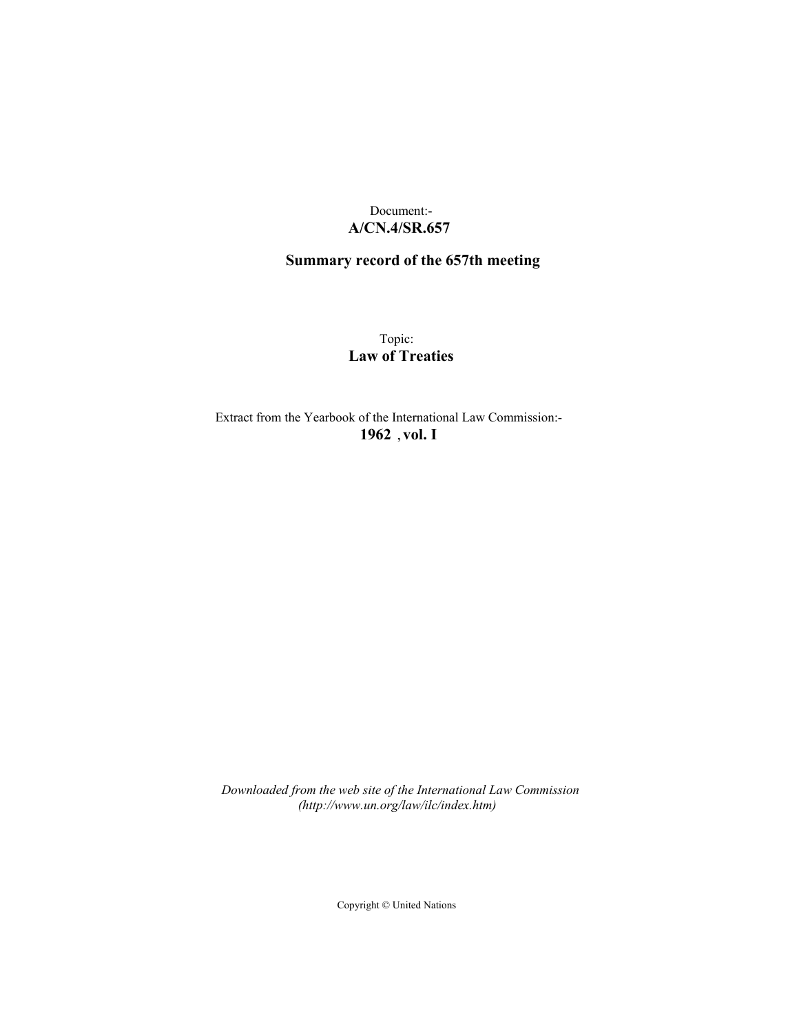## Document:- **A/CN.4/SR.657**

# **Summary record of the 657th meeting**

Topic: **Law of Treaties**

Extract from the Yearbook of the International Law Commission:- **1962** ,**vol. I**

*Downloaded from the web site of the International Law Commission (http://www.un.org/law/ilc/index.htm)*

Copyright © United Nations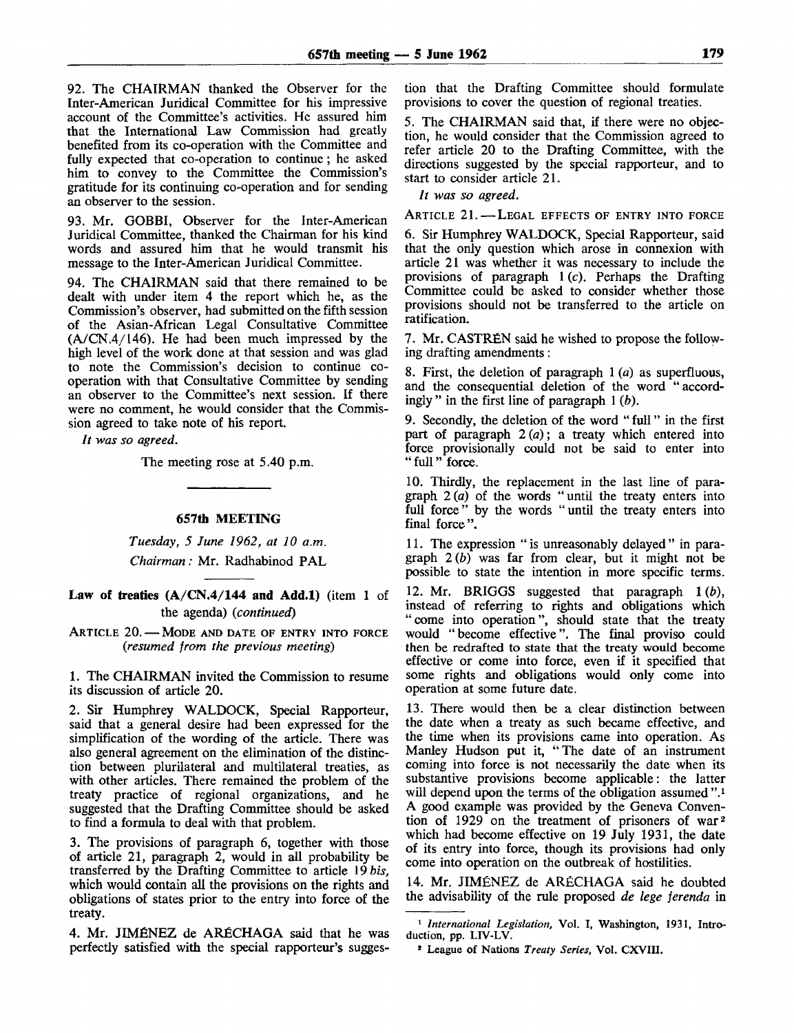92. The CHAIRMAN thanked the Observer for the Inter-American Juridical Committee for his impressive account of the Committee's activities. He assured him that the International Law Commission had greatly benefited from its co-operation with the Committee and fully expected that co-operation to continue; he asked him to convey to the Committee the Commission's gratitude for its continuing co-operation and for sending an observer to the session.

93. Mr. GOBBI, Observer for the Inter-American Juridical Committee, thanked the Chairman for his kind words and assured him that he would transmit his message to the Inter-American Juridical Committee.

94. The CHAIRMAN said that there remained to be dealt with under item 4 the report which he, as the Commission's observer, had submitted on the fifth session of the Asian-African Legal Consultative Committee (A/CN.4/146). He had been much impressed by the high level of the work done at that session and was glad to note the Commission's decision to continue cooperation with that Consultative Committee by sending an observer to the Committee's next session. If there were no comment, he would consider that the Commission agreed to take note of his report.

// *was so agreed.*

The meeting rose at 5.40 p.m.

#### **657th MEETING**

*Tuesday, 5 June 1962, at 10 a.m. Chairman:* Mr. Radhabinod PAL

## **Law of treaties (A/CN.4/144 and Add.l)** (item 1 of the agenda) *(continued)*

ARTICLE 20. — MODE AND DATE OF ENTRY INTO FORCE *(resumed from the previous meeting)*

1. The CHAIRMAN invited the Commission to resume its discussion of article 20.

2. Sir Humphrey WALDOCK, Special Rapporteur, said that a general desire had been expressed for the simplification of the wording of the article. There was also general agreement on the elimination of the distinction between plurilateral and multilateral treaties, as with other articles. There remained the problem of the treaty practice of regional organizations, and he suggested that the Drafting Committee should be asked to find a formula to deal with that problem.

3. The provisions of paragraph 6, together with those of article 21, paragraph 2, would in all probability be transferred by the Drafting Committee to article 19 *bis,* which would contain all the provisions on the rights and obligations of states prior to the entry into force of the treaty.

4. Mr. JIMENEZ de ARECHAGA said that he was perfectly satisfied with the special rapporteur's sugges-

tion that the Drafting Committee should formulate provisions to cover the question of regional treaties.

5. The CHAIRMAN said that, if there were no objection, he would consider that the Commission agreed to refer article 20 to the Drafting Committee, with the directions suggested by the special rapporteur, and to start to consider article 21.

*It was so agreed.*

ARTICLE 21. — LEGAL EFFECTS OF ENTRY INTO FORCE

6. Sir Humphrey WALDOCK, Special Rapporteur, said that the only question which arose in connexion with article 21 was whether it was necessary to include the provisions of paragraph  $1(c)$ . Perhaps the Drafting Committee could be asked to consider whether those provisions should not be transferred to the article on ratification.

7. Mr. CASTREN said he wished to propose the following drafting amendments:

8. First, the deletion of paragraph 1 *(a)* as superfluous, and the consequential deletion of the word "accordingly " in the first line of paragraph 1 *(b).*

9. Secondly, the deletion of the word " full" in the first part of paragraph 2 *(a)*; a treaty which entered into force provisionally could not be said to enter into " full " force.

10. Thirdly, the replacement in the last line of paragraph *2(a)* of the words "until the treaty enters into full force" by the words "until the treaty enters into final force".

11. The expression " is unreasonably delayed " in paragraph *2(b)* was far from clear, but it might not be possible to state the intention in more specific terms.

12. Mr. BRIGGS suggested that paragraph 1 *(b),* instead of referring to rights and obligations which "come into operation", should state that the treaty would "become effective". The final proviso could then be redrafted to state that the treaty would become effective or come into force, even if it specified that some rights and obligations would only come into operation at some future date.

13. There would then be a clear distinction between the date when a treaty as such became effective, and the time when its provisions came into operation. As Manley Hudson put it, "The date of an instrument coming into force is not necessarily the date when its substantive provisions become applicable: the latter will depend upon the terms of the obligation assumed ".<sup>1</sup> A good example was provided by the Geneva Convention of 1929 on the treatment of prisoners of war<sup>2</sup> which had become effective on 19 July 1931, the date of its entry into force, though its provisions had only come into operation on the outbreak of hostilities.

14. Mr. JIMENEZ de ARECHAGA said he doubted the advisability of the rule proposed *de lege ferenda* in

<sup>1</sup>  *International Legislation,* Vol. I, Washington, 1931, Introduction, pp. LTV-LV.

<sup>\*</sup> League of Nations *Treaty Series,* Vol. CXVIII.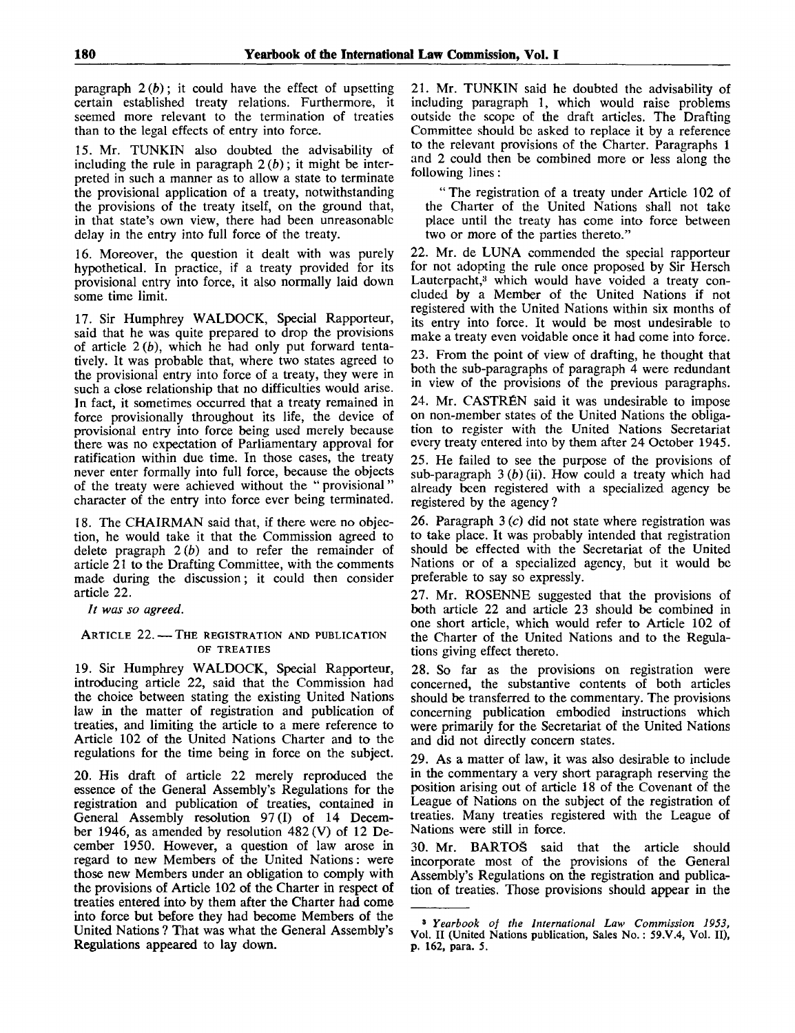paragraph  $2(b)$ ; it could have the effect of upsetting certain established treaty relations. Furthermore, it seemed more relevant to the termination of treaties than to the legal effects of entry into force.

15. Mr. TUNKIN also doubted the advisability of including the rule in paragraph  $2(b)$ ; it might be interpreted in such a manner as to allow a state to terminate the provisional application of a treaty, notwithstanding the provisions of the treaty itself, on the ground that, in that state's own view, there had been unreasonable delay in the entry into full force of the treaty.

16. Moreover, the question it dealt with was purely hypothetical. In practice, if a treaty provided for its provisional entry into force, it also normally laid down some time limit.

17. Sir Humphrey WALDOCK, Special Rapporteur, said that he was quite prepared to drop the provisions of article *2(b),* which he had only put forward tentatively. It was probable that, where two states agreed to the provisional entry into force of a treaty, they were in such a close relationship that no difficulties would arise. In fact, it sometimes occurred that a treaty remained in force provisionally throughout its life, the device of provisional entry into force being used merely because there was no expectation of Parliamentary approval for ratification within due time. In those cases, the treaty never enter formally into full force, because the objects of the treaty were achieved without the "provisional" character of the entry into force ever being terminated.

18. The CHAIRMAN said that, if there were no objection, he would take it that the Commission agreed to delete pragraph 2 *(b)* and to refer the remainder of article 21 to the Drafting Committee, with the comments made during the discussion; it could then consider article 22.

// *was so agreed.*

#### ARTICLE 22. — THE REGISTRATION AND PUBLICATION OF TREATIES

19. Sir Humphrey WALDOCK, Special Rapporteur, introducing article 22, said that the Commission had the choice between stating the existing United Nations law in the matter of registration and publication of treaties, and limiting the article to a mere reference to Article 102 of the United Nations Charter and to the regulations for the time being in force on the subject.

20. His draft of article 22 merely reproduced the essence of the General Assembly's Regulations for the registration and publication of treaties, contained in General Assembly resolution 97 (I) of 14 December 1946, as amended by resolution 482 (V) of 12 December 1950. However, a question of law arose in regard to new Members of the United Nations: were those new Members under an obligation to comply with the provisions of Article 102 of the Charter in respect of treaties entered into by them after the Charter had come into force but before they had become Members of the United Nations ? That was what the General Assembly's Regulations appeared to lay down.

21. Mr. TUNKIN said he doubted the advisability of including paragraph 1, which would raise problems outside the scope of the draft articles. The Drafting Committee should be asked to replace it by a reference to the relevant provisions of the Charter. Paragraphs 1 and 2 could then be combined more or less along the following lines:

" The registration of a treaty under Article 102 of the Charter of the United Nations shall not take place until the treaty has come into force between two or more of the parties thereto."

22. Mr. de LUNA commended the special rapporteur for not adopting the rule once proposed by Sir Hersch Lauterpacht,<sup>3</sup> which would have voided a treaty concluded by a Member of the United Nations if not registered with the United Nations within six months of its entry into force. It would be most undesirable to make a treaty even voidable once it had come into force.

23. From the point of view of drafting, he thought that both the sub-paragraphs of paragraph 4 were redundant in view of the provisions of the previous paragraphs.

24. Mr. CASTR£N said it was undesirable to impose on non-member states of the United Nations the obligation to register with the United Nations Secretariat every treaty entered into by them after 24 October 1945.

25. He failed to see the purpose of the provisions of sub-paragraph 3 *(b)* (ii). How could a treaty which had already been registered with a specialized agency be registered by the agency ?

26. Paragraph  $3(c)$  did not state where registration was to take place. It was probably intended that registration should be effected with the Secretariat of the United Nations or of a specialized agency, but it would be preferable to say so expressly.

27. Mr. ROSENNE suggested that the provisions of both article 22 and article 23 should be combined in one short article, which would refer to Article 102 of the Charter of the United Nations and to the Regulations giving effect thereto.

28. So far as the provisions on registration were concerned, the substantive contents of both articles should be transferred to the commentary. The provisions concerning publication embodied instructions which were primarily for the Secretariat of the United Nations and did not directly concern states.

29. As a matter of law, it was also desirable to include in the commentary a very short paragraph reserving the position arising out of article 18 of the Covenant of the League of Nations on the subject of the registration of treaties. Many treaties registered with the League of Nations were still in force.

30. Mr. BARTOS said that the article should incorporate most of the provisions of the General Assembly's Regulations on the registration and publication of treaties. Those provisions should appear in the

<sup>3</sup>  *Yearbook of the International Law Commission 1953,* Vol. II (United Nations publication, Sales No.: 59.V.4, Vol. II), p. 162, para. 5.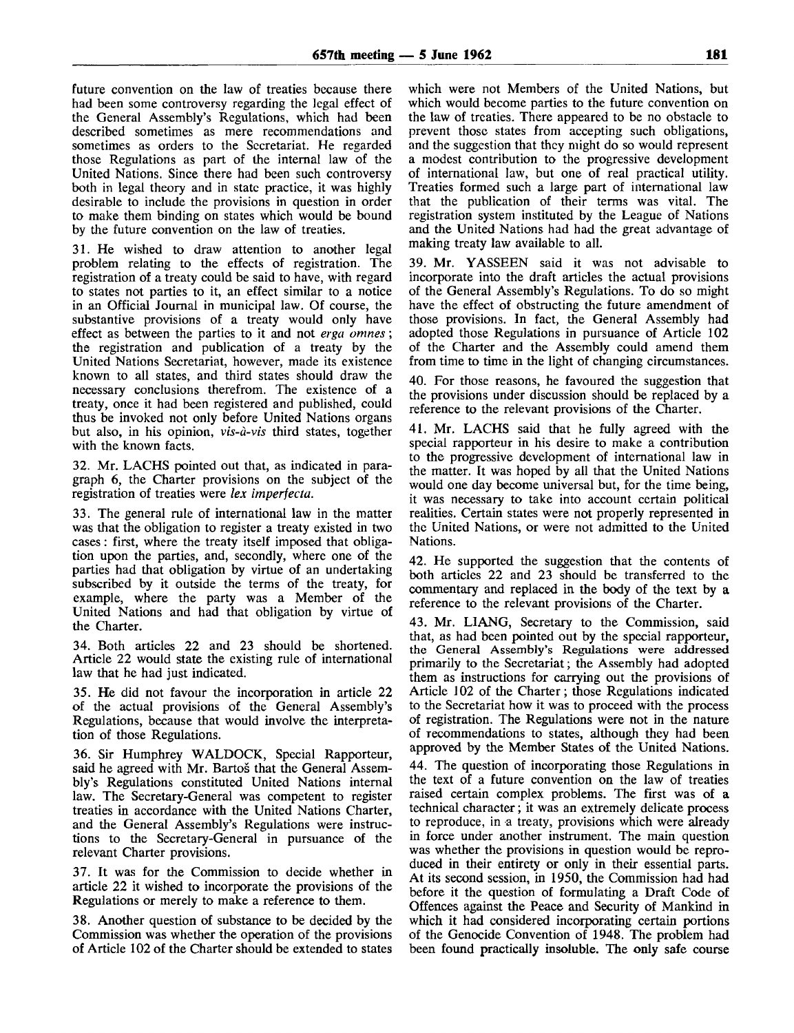future convention on the law of treaties because there had been some controversy regarding the legal effect of the General Assembly's Regulations, which had been described sometimes as mere recommendations and sometimes as orders to the Secretariat. He regarded those Regulations as part of the internal law of the United Nations. Since there had been such controversy both in legal theory and in state practice, it was highly desirable to include the provisions in question in order to make them binding on states which would be bound by the future convention on the law of treaties.

31. He wished to draw attention to another legal problem relating to the effects of registration. The registration of a treaty could be said to have, with regard to states not parties to it, an effect similar to a notice in an Official Journal in municipal law. Of course, the substantive provisions of a treaty would only have effect as between the parties to it and not *erga omnes*; the registration and publication of a treaty by the United Nations Secretariat, however, made its existence known to all states, and third states should draw the necessary conclusions therefrom. The existence of a treaty, once it had been registered and published, could thus be invoked not only before United Nations organs but also, in his opinion, *vis-a-vis* third states, together with the known facts.

32. Mr. LACHS pointed out that, as indicated in paragraph 6, the Charter provisions on the subject of the registration of treaties were *lex imperfecta.*

33. The general rule of international law in the matter was that the obligation to register a treaty existed in two cases: first, where the treaty itself imposed that obligation upon the parties, and, secondly, where one of the parties had that obligation by virtue of an undertaking subscribed by it outside the terms of the treaty, for example, where the party was a Member of the United Nations and had that obligation by virtue of the Charter.

34. Both articles 22 and 23 should be shortened. Article 22 would state the existing rule of international law that he had just indicated.

35. He did not favour the incorporation in article 22 of the actual provisions of the General Assembly's Regulations, because that would involve the interpretation of those Regulations.

36. Sir Humphrey WALDOCK, Special Rapporteur, said he agreed with Mr. Bartos that the General Assembly's Regulations constituted United Nations internal law. The Secretary-General was competent to register treaties in accordance with the United Nations Charter, and the General Assembly's Regulations were instructions to the Secretary-General in pursuance of the relevant Charter provisions.

37. It was for the Commission to decide whether in article 22 it wished to incorporate the provisions of the Regulations or merely to make a reference to them.

38. Another question of substance to be decided by the Commission was whether the operation of the provisions of Article 102 of the Charter should be extended to states which were not Members of the United Nations, but which would become parties to the future convention on the law of treaties. There appeared to be no obstacle to prevent those states from accepting such obligations, and the suggestion that they might do so would represent a modest contribution to the progressive development of international law, but one of real practical utility. Treaties formed such a large part of international law that the publication of their terms was vital. The registration system instituted by the League of Nations and the United Nations had had the great advantage of making treaty law available to all.

39. Mr. YASSEEN said it was not advisable to incorporate into the draft articles the actual provisions of the General Assembly's Regulations. To do so might have the effect of obstructing the future amendment of those provisions. In fact, the General Assembly had adopted those Regulations in pursuance of Article 102 of the Charter and the Assembly could amend them from time to time in the light of changing circumstances.

40. For those reasons, he favoured the suggestion that the provisions under discussion should be replaced by a reference to the relevant provisions of the Charter.

41. Mr. LACHS said that he fully agreed with the special rapporteur in his desire to make a contribution to the progressive development of international law in the matter. It was hoped by all that the United Nations would one day become universal but, for the time being, it was necessary to take into account certain political realities. Certain states were not properly represented in the United Nations, or were not admitted to the United Nations.

42. He supported the suggestion that the contents of both articles 22 and 23 should be transferred to the commentary and replaced in the body of the text by a reference to the relevant provisions of the Charter.

43. Mr. LIANG, Secretary to the Commission, said that, as had been pointed out by the special rapporteur, the General Assembly's Regulations were addressed primarily to the Secretariat; the Assembly had adopted them as instructions for carrying out the provisions of Article 102 of the Charter; those Regulations indicated to the Secretariat how it was to proceed with the process of registration. The Regulations were not in the nature of recommendations to states, although they had been approved by the Member States of the United Nations.

44. The question of incorporating those Regulations in the text of a future convention on the law of treaties raised certain complex problems. The first was of a technical character; it was an extremely delicate process to reproduce, in a treaty, provisions which were already in force under another instrument. The main question was whether the provisions in question would be reproduced in their entirety or only in their essential parts. At its second session, in 1950, the Commission had had before it the question of formulating a Draft Code of Offences against the Peace and Security of Mankind in which it had considered incorporating certain portions of the Genocide Convention of 1948. The problem had been found practically insoluble. The only safe course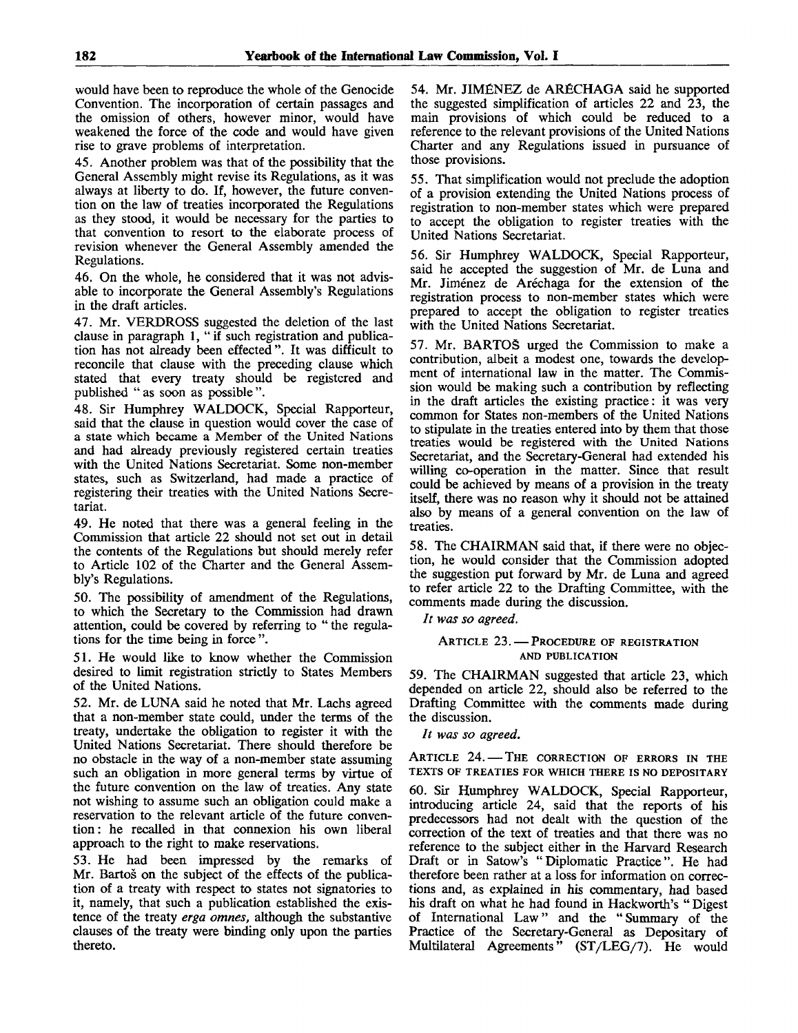would have been to reproduce the whole of the Genocide Convention. The incorporation of certain passages and the omission of others, however minor, would have weakened the force of the code and would have given rise to grave problems of interpretation.

45. Another problem was that of the possibility that the General Assembly might revise its Regulations, as it was always at liberty to do. If, however, the future convention on the law of treaties incorporated the Regulations as they stood, it would be necessary for the parties to that convention to resort to the elaborate process of revision whenever the General Assembly amended the Regulations.

46. On the whole, he considered that it was not advisable to incorporate the General Assembly's Regulations in the draft articles.

47. Mr. VERDROSS suggested the deletion of the last clause in paragraph 1, " if such registration and publication has not already been effected". It was difficult to reconcile that clause with the preceding clause which stated that every treaty should be registered and published " as soon as possible ".

48. Sir Humphrey WALDOCK, Special Rapporteur, said that the clause in question would cover the case of a state which became a Member of the United Nations and had already previously registered certain treaties with the United Nations Secretariat. Some non-member states, such as Switzerland, had made a practice of registering their treaties with the United Nations Secretariat.

49. He noted that there was a general feeling in the Commission that article 22 should not set out in detail the contents of the Regulations but should merely refer to Article 102 of the Charter and the General Assembly's Regulations.

50. The possibility of amendment of the Regulations, to which the Secretary to the Commission had drawn attention, could be covered by referring to " the regulations for the time being in force ".

51. He would like to know whether the Commission desired to limit registration strictly to States Members of the United Nations.

52. Mr. de LUNA said he noted that Mr. Lachs agreed that a non-member state could, under the terms of the treaty, undertake the obligation to register it with the United Nations Secretariat. There should therefore be no obstacle in the way of a non-member state assuming such an obligation in more general terms by virtue of the future convention on the law of treaties. Any state not wishing to assume such an obligation could make a reservation to the relevant article of the future convention: he recalled in that connexion his own liberal approach to the right to make reservations.

53. He had been impressed by the remarks of Mr. Bartoš on the subject of the effects of the publication of a treaty with respect to states not signatories to it, namely, that such a publication established the existence of the treaty *erga omnes,* although the substantive clauses of the treaty were binding only upon the parties thereto.

54. Mr. JIMENEZ de ARfiCHAGA said he supported the suggested simplification of articles 22 and 23, the main provisions of which could be reduced to a reference to the relevant provisions of the United Nations Charter and any Regulations issued in pursuance of those provisions.

55. That simplification would not preclude the adoption of a provision extending the United Nations process of registration to non-member states which were prepared to accept the obligation to register treaties with the United Nations Secretariat.

56. Sir Humphrey WALDOCK, Special Rapporteur, said he accepted the suggestion of Mr. de Luna and Mr. Jiménez de Aréchaga for the extension of the registration process to non-member states which were prepared to accept the obligation to register treaties with the United Nations Secretariat.

57. Mr. BARTOS urged the Commission to make a contribution, albeit a modest one, towards the development of international law in the matter. The Commission would be making such a contribution by reflecting in the draft articles the existing practice: it was very common for States non-members of the United Nations to stipulate in the treaties entered into by them that those treaties would be registered with the United Nations Secretariat, and the Secretary-General had extended his willing co-operation in the matter. Since that result could be achieved by means of a provision in the treaty itself, there was no reason why it should not be attained also by means of a general convention on the law of treaties.

58. The CHAIRMAN said that, if there were no objection, he would consider that the Commission adopted the suggestion put forward by Mr. de Luna and agreed to refer article 22 to the Drafting Committee, with the comments made during the discussion.

// *was so agreed.*

### ARTICLE 23. — PROCEDURE OF REGISTRATION AND PUBLICATION

59. The CHAIRMAN suggested that article 23, which depended on article 22, should also be referred to the Drafting Committee with the comments made during the discussion.

*It was so agreed.*

ARTICLE 24. — THE CORRECTION OF ERRORS IN THE TEXTS OF TREATIES FOR WHICH THERE IS NO DEPOSITARY

60. Sir Humphrey WALDOCK, Special Rapporteur, introducing article 24, said that the reports of his predecessors had not dealt with the question of the correction of the text of treaties and that there was no reference to the subject either in the Harvard Research Draft or in Satow's "Diplomatic Practice". He had therefore been rather at a loss for information on corrections and, as explained in his commentary, had based his draft on what he had found in Hackworth's " Digest of International Law" and the "Summary of the Practice of the Secretary-General as Depositary of Multilateral Agreements" (ST/LEG/7). He would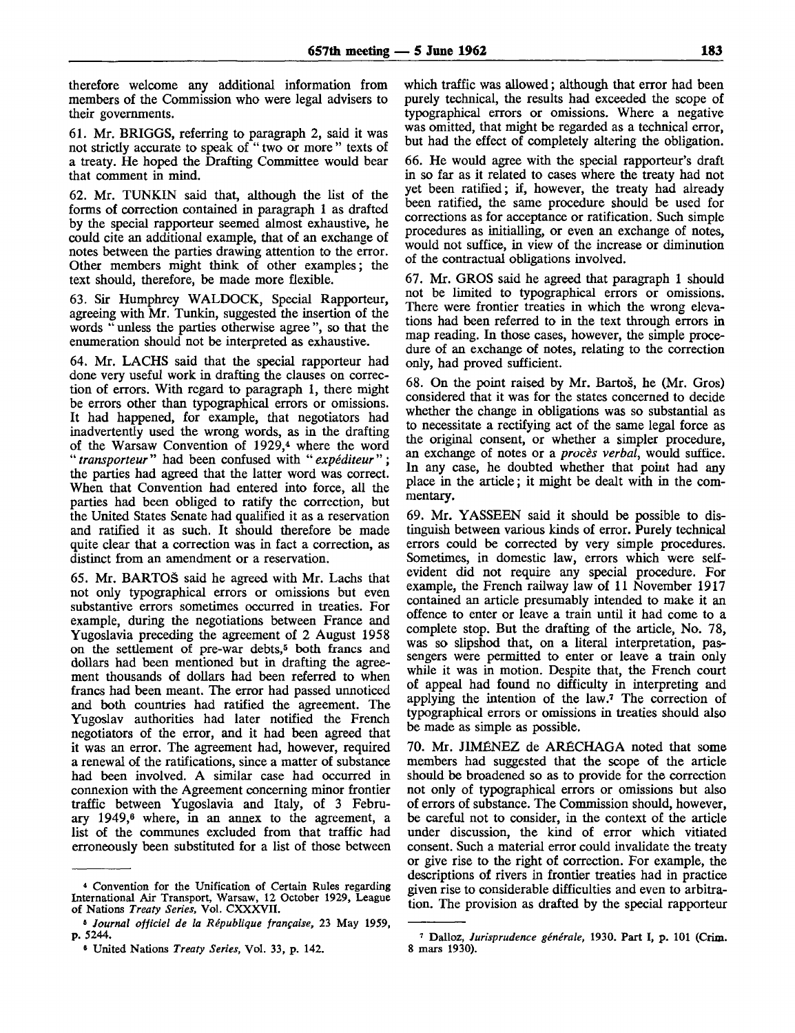therefore welcome any additional information from members of the Commission who were legal advisers to their governments.

61. Mr. BRIGGS, referring to paragraph 2, said it was not strictly accurate to speak of " two or more " texts of a treaty. He hoped the Drafting Committee would bear that comment in mind.

62. Mr. TUNKIN said that, although the list of the forms of correction contained in paragraph 1 as drafted by the special rapporteur seemed almost exhaustive, he could cite an additional example, that of an exchange of notes between the parties drawing attention to the error. Other members might think of other examples; the text should, therefore, be made more flexible.

63. Sir Humphrey WALDOCK, Special Rapporteur, agreeing with Mr. Tunkin, suggested the insertion of the words " unless the parties otherwise agree ", so that the enumeration should not be interpreted as exhaustive.

64. Mr. LACHS said that the special rapporteur had done very useful work in drafting the clauses on correction of errors. With regard to paragraph 1, there might be errors other than typographical errors or omissions. It had happened, for example, that negotiators had inadvertently used the wrong words, as in the drafting of the Warsaw Convention of 1929,<sup>4</sup> where the word " *transporteur*" had been confused with "*expéditeur*"; the parties had agreed that the latter word was correct. When that Convention had entered into force, all the parties had been obliged to ratify the correction, but the United States Senate had qualified it as a reservation and ratified it as such. It should therefore be made quite clear that a correction was in fact a correction, as distinct from an amendment or a reservation.

65. Mr. BARTOS said he agreed with Mr. Lachs that not only typographical errors or omissions but even substantive errors sometimes occurred in treaties. For example, during the negotiations between France and Yugoslavia preceding the agreement of 2 August 1958 on the settlement of pre-war debts,<sup>5</sup> both francs and dollars had been mentioned but in drafting the agreement thousands of dollars had been referred to when francs had been meant. The error had passed unnoticed and both countries had ratified the agreement. The Yugoslav authorities had later notified the French negotiators of the error, and it had been agreed that it was an error. The agreement had, however, required a renewal of the ratifications, since a matter of substance had been involved. A similar case had occurred in connexion with the Agreement concerning minor frontier traffic between Yugoslavia and Italy, of 3 February 1949,<sup>6</sup> where, in an annex to the agreement, a list of the communes excluded from that traffic had erroneously been substituted for a list of those between

which traffic was allowed; although that error had been purely technical, the results had exceeded the scope of typographical errors or omissions. Where a negative was omitted, that might be regarded as a technical error, but had the effect of completely altering the obligation.

66. He would agree with the special rapporteur's draft in so far as it related to cases where the treaty had not yet been ratified; if, however, the treaty had already been ratified, the same procedure should be used for corrections as for acceptance or ratification. Such simple procedures as initialling, or even an exchange of notes, would not suffice, in view of the increase or diminution of the contractual obligations involved.

67. Mr. GROS said he agreed that paragraph 1 should not be limited to typographical errors or omissions. There were frontier treaties in which the wrong elevations had been referred to in the text through errors in map reading. In those cases, however, the simple procedure of an exchange of notes, relating to the correction only, had proved sufficient.

68. On the point raised by Mr. Bartos, he (Mr. Gros) considered that it was for the states concerned to decide whether the change in obligations was so substantial as to necessitate a rectifying act of the same legal force as the original consent, or whether a simpler procedure, an exchange of notes or a *proces verbal,* would suffice. In any case, he doubted whether that point had any place in the article; it might be dealt with in the commentary.

69. Mr. YASSEEN said it should be possible to distinguish between various kinds of error. Purely technical errors could be corrected by very simple procedures. Sometimes, in domestic law, errors which were selfevident did not require any special procedure. For example, the French railway law of 11 November 1917 contained an article presumably intended to make it an offence to enter or leave a train until it had come to a complete stop. But the drafting of the article, No. 78, was so slipshod that, on a literal interpretation, passengers were permitted to enter or leave a train only while it was in motion. Despite that, the French court of appeal had found no difficulty in interpreting and applying the intention of the law.<sup>7</sup> The correction of typographical errors or omissions in treaties should also be made as simple as possible.

70. Mr. JIMfiNEZ de ARfiCHAGA noted that some members had suggested that the scope of the article should be broadened so as to provide for the correction not only of typographical errors or omissions but also of errors of substance. The Commission should, however, be careful not to consider, in the context of the article under discussion, the kind of error which vitiated consent. Such a material error could invalidate the treaty or give rise to the right of correction. For example, the descriptions of rivers in frontier treaties had in practice given rise to considerable difficulties and even to arbitration. The provision as drafted by the special rapporteur

<sup>4</sup> Convention for the Unification of Certain Rules regarding International Air Transport, Warsaw, 12 October 1929, League of Nations *Treaty Series,* Vol. CXXXVII.

<sup>5</sup>  *Journal officiel de la Republique frangaise,* 23 May 1959, p. 5244.

<sup>6</sup> United Nations *Treaty Series,* Vol. 33, p. 142.

<sup>7</sup> Dalloz, *Jurisprudence generate,* 1930. Part I, p. 101 (Crim. 8 mars 1930).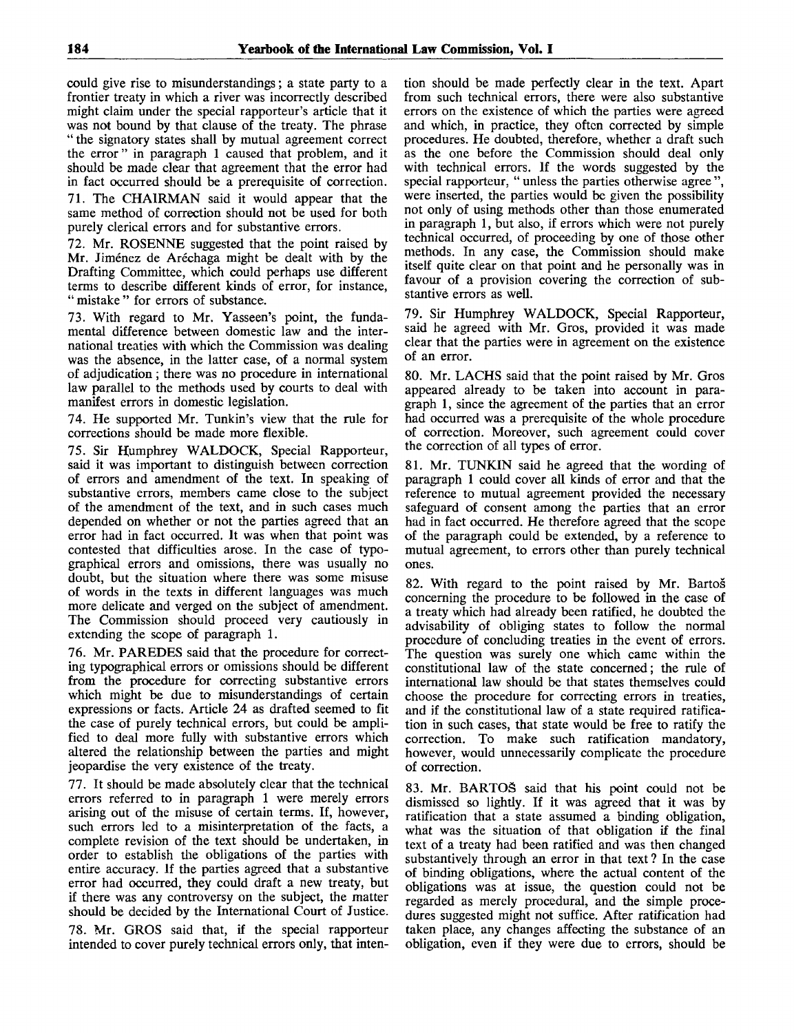could give rise to misunderstandings; a state party to a frontier treaty in which a river was incorrectly described might claim under the special rapporteur's article that it was not bound by that clause of the treaty. The phrase " the signatory states shall by mutual agreement correct the error " in paragraph 1 caused that problem, and it should be made clear that agreement that the error had in fact occurred should be a prerequisite of correction.

71. The CHAIRMAN said it would appear that the same method of correction should not be used for both purely clerical errors and for substantive errors.

72. Mr. ROSENNE suggested that the point raised by Mr. Jiménez de Aréchaga might be dealt with by the Drafting Committee, which could perhaps use different terms to describe different kinds of error, for instance, " mistake " for errors of substance.

73. With regard to Mr. Yasseen's point, the fundamental difference between domestic law and the international treaties with which the Commission was dealing was the absence, in the latter case, of a normal system of adjudication; there was no procedure in international law parallel to the methods used by courts to deal with manifest errors in domestic legislation.

74. He supported Mr. Tunkin's view that the rule for corrections should be made more flexible.

75. Sir Humphrey WALDOCK, Special Rapporteur, said it was important to distinguish between correction of errors and amendment of the text. In speaking of substantive errors, members came close to the subject of the amendment of the text, and in such cases much depended on whether or not the parties agreed that an error had in fact occurred. It was when that point was contested that difficulties arose. In the case of typographical errors and omissions, there was usually no doubt, but the situation where there was some misuse of words in the texts in different languages was much more delicate and verged on the subject of amendment. The Commission should proceed very cautiously in extending the scope of paragraph 1.

76. Mr. PAREDES said that the procedure for correcting typographical errors or omissions should be different from the procedure for correcting substantive errors which might be due to misunderstandings of certain expressions or facts. Article 24 as drafted seemed to fit the case of purely technical errors, but could be amplified to deal more fully with substantive errors which altered the relationship between the parties and might jeopardise the very existence of the treaty.

77. It should be made absolutely clear that the technical errors referred to in paragraph 1 were merely errors arising out of the misuse of certain terms. If, however, such errors led to a misinterpretation of the facts, a complete revision of the text should be undertaken, in order to establish the obligations of the parties with entire accuracy. If the parties agreed that a substantive error had occurred, they could draft a new treaty, but if there was any controversy on the subject, the matter should be decided by the International Court of Justice.

78. Mr. GROS said that, if the special rapporteur intended to cover purely technical errors only, that intention should be made perfectly clear in the text. Apart from such technical errors, there were also substantive errors on the existence of which the parties were agreed and which, in practice, they often corrected by simple procedures. He doubted, therefore, whether a draft such as the one before the Commission should deal only with technical errors. If the words suggested by the special rapporteur, " unless the parties otherwise agree ", were inserted, the parties would be given the possibility not only of using methods other than those enumerated in paragraph 1, but also, if errors which were not purely technical occurred, of proceeding by one of those other methods. In any case, the Commission should make itself quite clear on that point and he personally was in favour of a provision covering the correction of substantive errors as well.

79. Sir Humphrey WALDOCK, Special Rapporteur, said he agreed with Mr. Gros, provided it was made clear that the parties were in agreement on the existence of an error.

80. Mr. LACHS said that the point raised by Mr. Gros appeared already to be taken into account in paragraph 1, since the agreement of the parties that an error had occurred was a prerequisite of the whole procedure of correction. Moreover, such agreement could cover the correction of all types of error.

81. Mr. TUNKIN said he agreed that the wording of paragraph 1 could cover all kinds of error and that the reference to mutual agreement provided the necessary safeguard of consent among the parties that an error had in fact occurred. He therefore agreed that the scope of the paragraph could be extended, by a reference to mutual agreement, to errors other than purely technical ones.

82. With regard to the point raised by Mr. Bartos concerning the procedure to be followed in the case of a treaty which had already been ratified, he doubted the advisability of obliging states to follow the normal procedure of concluding treaties in the event of errors. The question was surely one which came within the constitutional law of the state concerned; the rule of international law should be that states themselves could choose the procedure for correcting errors in treaties, and if the constitutional law of a state required ratification in such cases, that state would be free to ratify the correction. To make such ratification mandatory, however, would unnecessarily complicate the procedure of correction.

83. Mr. BARTOS said that his point could not be dismissed so lightly. If it was agreed that it was by ratification that a state assumed a binding obligation, what was the situation of that obligation if the final text of a treaty had been ratified and was then changed substantively through an error in that text? In the case of binding obligations, where the actual content of the obligations was at issue, the question could not be regarded as merely procedural, and the simple procedures suggested might not suffice. After ratification had taken place, any changes affecting the substance of an obligation, even if they were due to errors, should be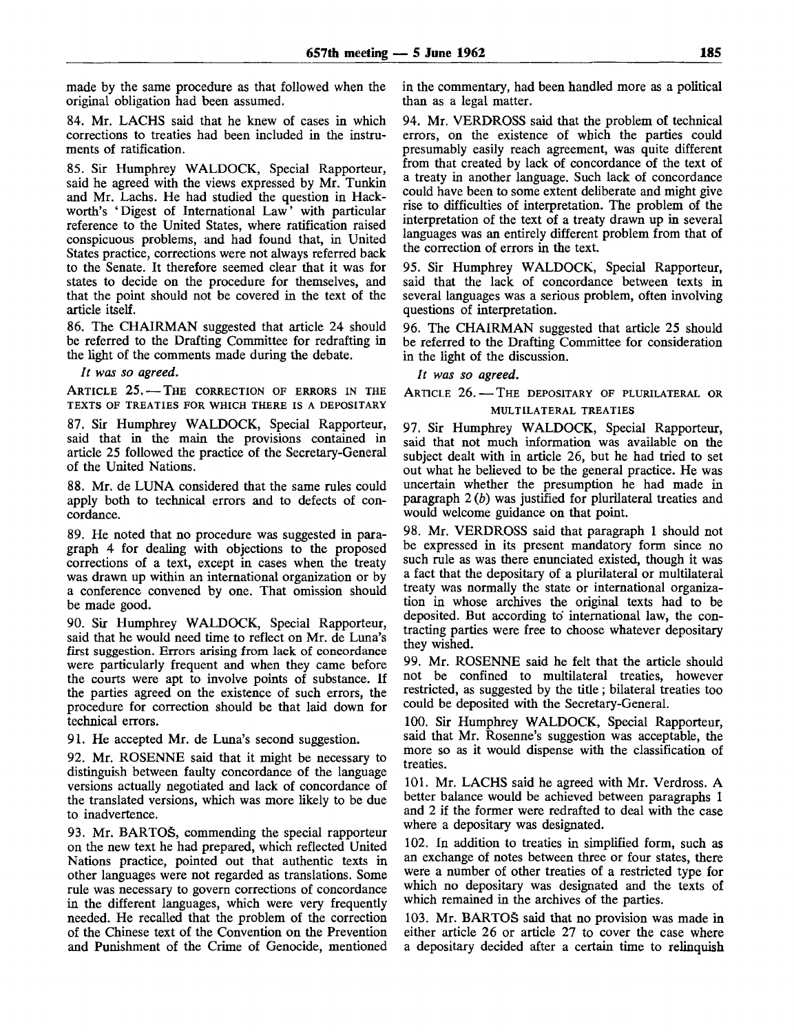made by the same procedure as that followed when the original obligation had been assumed.

84. Mr. LACHS said that he knew of cases in which corrections to treaties had been included in the instruments of ratification.

85. Sir Humphrey WALDOCK, Special Rapporteur, said he agreed with the views expressed by Mr. Tunkin and Mr. Lachs. He had studied the question in Hackworth's 'Digest of International Law' with particular reference to the United States, where ratification raised conspicuous problems, and had found that, in United States practice, corrections were not always referred back to the Senate. It therefore seemed clear that it was for states to decide on the procedure for themselves, and that the point should not be covered in the text of the article itself.

86. The CHAIRMAN suggested that article 24 should be referred to the Drafting Committee for redrafting in the light of the comments made during the debate.

*It was so agreed.*

ARTICLE 25.— THE CORRECTION OF ERRORS IN THE TEXTS OF TREATIES FOR WHICH THERE IS A DEPOSITARY

87. Sir Humphrey WALDOCK, Special Rapporteur, said that in the main the provisions contained in article 25 followed the practice of the Secretary-General of the United Nations.

88. Mr. de LUNA considered that the same rules could apply both to technical errors and to defects of concordance.

89. He noted that no procedure was suggested in paragraph 4 for dealing with objections to the proposed corrections of a text, except in cases when the treaty was drawn up within an international organization or by a conference convened by one. That omission should be made good.

90. Sir Humphrey WALDOCK, Special Rapporteur, said that he would need time to reflect on Mr. de Luna's first suggestion. Errors arising from lack of concordance were particularly frequent and when they came before the courts were apt to involve points of substance. If the parties agreed on the existence of such errors, the procedure for correction should be that laid down for technical errors.

91. He accepted Mr. de Luna's second suggestion.

92. Mr. ROSENNE said that it might be necessary to distinguish between faulty concordance of the language versions actually negotiated and lack of concordance of the translated versions, which was more likely to be due to inadvertence.

93. Mr. BARTOS, commending the special rapporteur on the new text he had prepared, which reflected United Nations practice, pointed out that authentic texts in other languages were not regarded as translations. Some rule was necessary to govern corrections of concordance in the different languages, which were very frequently needed. He recalled that the problem of the correction of the Chinese text of the Convention on the Prevention and Punishment of the Crime of Genocide, mentioned

in the commentary, had been handled more as a political than as a legal matter.

94. Mr. VERDROSS said that the problem of technical errors, on the existence of which the parties could presumably easily reach agreement, was quite different from that created by lack of concordance of the text of a treaty in another language. Such lack of concordance could have been to some extent deliberate and might give rise to difficulties of interpretation. The problem of the interpretation of the text of a treaty drawn up in several languages was an entirely different problem from that of the correction of errors in the text.

95. Sir Humphrey WALDOCK, Special Rapporteur, said that the lack of concordance between texts in several languages was a serious problem, often involving questions of interpretation.

96. The CHAIRMAN suggested that article 25 should be referred to the Drafting Committee for consideration in the light of the discussion.

// *was so agreed.*

ARTICLE 26. - THE DEPOSITARY OF PLURILATERAL OR MULTILATERAL TREATIES

97. Sir Humphrey WALDOCK, Special Rapporteur, said that not much information was available on the subject dealt with in article 26, but he had tried to set out what he believed to be the general practice. He was uncertain whether the presumption he had made in paragraph 2 *(b)* was justified for plurilateral treaties and would welcome guidance on that point.

98. Mr. VERDROSS said that paragraph 1 should not be expressed in its present mandatory form since no such rule as was there enunciated existed, though it was a fact that the depositary of a plurilateral or multilateral treaty was normally the state or international organization in whose archives the original texts had to be deposited. But according to international law, the contracting parties were free to choose whatever depositary they wished.

99. Mr. ROSENNE said he felt that the article should not be confined to multilateral treaties, however restricted, as suggested by the title; bilateral treaties too could be deposited with the Secretary-General.

100. Sir Humphrey WALDOCK, Special Rapporteur, said that Mr. Rosenne's suggestion was acceptable, the more so as it would dispense with the classification of treaties.

101. Mr. LACHS said he agreed with Mr. Verdross. A better balance would be achieved between paragraphs 1 and 2 if the former were redrafted to deal with the case where a depositary was designated.

102. In addition to treaties in simplified form, such as an exchange of notes between three or four states, there were a number of other treaties of a restricted type for which no depositary was designated and the texts of which remained in the archives of the parties.

103. Mr. BARTOS said that no provision was made in either article 26 or article 27 to cover the case where a depositary decided after a certain time to relinquish